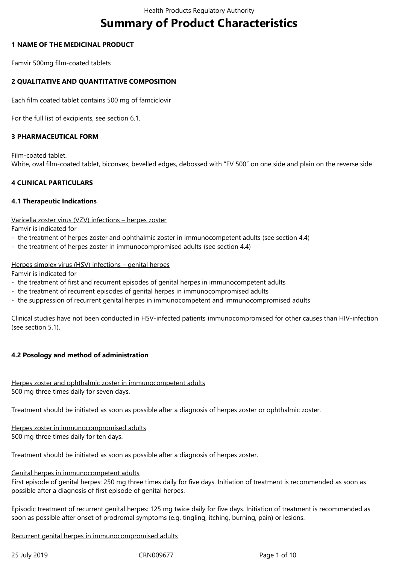# **Summary of Product Characteristics**

### **1 NAME OF THE MEDICINAL PRODUCT**

Famvir 500mg film-coated tablets

# **2 QUALITATIVE AND QUANTITATIVE COMPOSITION**

Each film coated tablet contains 500 mg of famciclovir

For the full list of excipients, see section 6.1.

# **3 PHARMACEUTICAL FORM**

Film-coated tablet. White, oval film-coated tablet, biconvex, bevelled edges, debossed with "FV 500" on one side and plain on the reverse side

# **4 CLINICAL PARTICULARS**

#### **4.1 Therapeutic Indications**

Varicella zoster virus (VZV) infections – herpes zoster

Famvir is indicated for

- the treatment of herpes zoster and ophthalmic zoster in immunocompetent adults (see section 4.4)
- the treatment of herpes zoster in immunocompromised adults (see section 4.4)

#### Herpes simplex virus (HSV) infections – genital herpes

Famvir is indicated for

- the treatment of first and recurrent episodes of genital herpes in immunocompetent adults
- the treatment of recurrent episodes of genital herpes in immunocompromised adults
- the suppression of recurrent genital herpes in immunocompetent and immunocompromised adults

Clinical studies have not been conducted in HSV-infected patients immunocompromised for other causes than HIV-infection (see section 5.1).

#### **4.2 Posology and method of administration**

#### Herpes zoster and ophthalmic zoster in immunocompetent adults 500 mg three times daily for seven days.

Treatment should be initiated as soon as possible after a diagnosis of herpes zoster or ophthalmic zoster.

Herpes zoster in immunocompromised adults 500 mg three times daily for ten days.

Treatment should be initiated as soon as possible after a diagnosis of herpes zoster.

#### Genital herpes in immunocompetent adults

First episode of genital herpes: 250 mg three times daily for five days. Initiation of treatment is recommended as soon as possible after a diagnosis of first episode of genital herpes.

Episodic treatment of recurrent genital herpes: 125 mg twice daily for five days. Initiation of treatment is recommended as soon as possible after onset of prodromal symptoms (e.g. tingling, itching, burning, pain) or lesions.

Recurrent genital herpes in immunocompromised adults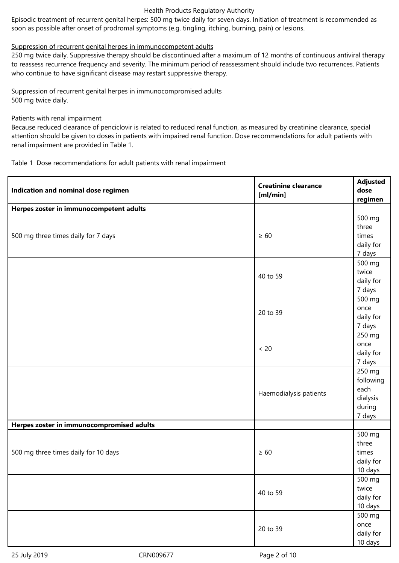Episodic treatment of recurrent genital herpes: 500 mg twice daily for seven days. Initiation of treatment is recommended as soon as possible after onset of prodromal symptoms (e.g. tingling, itching, burning, pain) or lesions.

# Suppression of recurrent genital herpes in immunocompetent adults

250 mg twice daily. Suppressive therapy should be discontinued after a maximum of 12 months of continuous antiviral therapy to reassess recurrence frequency and severity. The minimum period of reassessment should include two recurrences. Patients who continue to have significant disease may restart suppressive therapy.

Suppression of recurrent genital herpes in immunocompromised adults 500 mg twice daily.

# Patients with renal impairment

Because reduced clearance of penciclovir is related to reduced renal function, as measured by creatinine clearance, special attention should be given to doses in patients with impaired renal function. Dose recommendations for adult patients with renal impairment are provided in Table 1.

Table 1 Dose recommendations for adult patients with renal impairment

| Indication and nominal dose regimen       | <b>Creatinine clearance</b><br>[m]/min] | <b>Adjusted</b><br>dose<br>regimen                          |
|-------------------------------------------|-----------------------------------------|-------------------------------------------------------------|
| Herpes zoster in immunocompetent adults   |                                         |                                                             |
| 500 mg three times daily for 7 days       | $\geq 60$                               | 500 mg<br>three<br>times<br>daily for<br>7 days             |
|                                           | 40 to 59                                | 500 mg<br>twice<br>daily for<br>7 days                      |
|                                           | 20 to 39                                | 500 mg<br>once<br>daily for<br>7 days                       |
|                                           | $< 20$                                  | 250 mg<br>once<br>daily for<br>7 days                       |
|                                           | Haemodialysis patients                  | 250 mg<br>following<br>each<br>dialysis<br>during<br>7 days |
| Herpes zoster in immunocompromised adults |                                         |                                                             |
| 500 mg three times daily for 10 days      | $\geq 60$                               | 500 mg<br>three<br>times<br>daily for<br>10 days            |
|                                           | 40 to 59                                | 500 mg<br>twice<br>daily for<br>10 days                     |
|                                           | 20 to 39                                | 500 mg<br>once<br>daily for<br>10 days                      |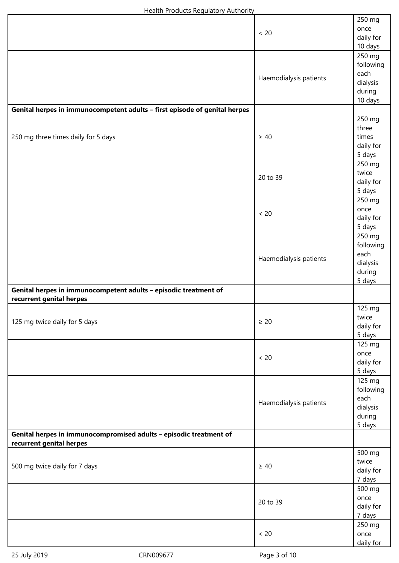|                                                                                                | < 20                   | 250 mg<br>once<br>daily for<br>10 days                       |
|------------------------------------------------------------------------------------------------|------------------------|--------------------------------------------------------------|
|                                                                                                | Haemodialysis patients | 250 mg<br>following<br>each<br>dialysis<br>during<br>10 days |
| Genital herpes in immunocompetent adults - first episode of genital herpes                     |                        |                                                              |
| 250 mg three times daily for 5 days                                                            | $\geq 40$              | 250 mg<br>three<br>times<br>daily for<br>5 days              |
|                                                                                                | 20 to 39               | 250 mg<br>twice<br>daily for<br>5 days                       |
|                                                                                                | < 20                   | 250 mg<br>once<br>daily for<br>5 days                        |
|                                                                                                | Haemodialysis patients | 250 mg<br>following<br>each<br>dialysis<br>during<br>5 days  |
| Genital herpes in immunocompetent adults - episodic treatment of<br>recurrent genital herpes   |                        |                                                              |
| 125 mg twice daily for 5 days                                                                  | $\geq 20$              | 125 mg<br>twice<br>daily for<br>5 days                       |
|                                                                                                | < 20                   | 125 mg<br>once<br>daily for<br>5 days                        |
|                                                                                                | Haemodialysis patients | 125 mg<br>following<br>each<br>dialysis<br>during<br>5 days  |
| Genital herpes in immunocompromised adults - episodic treatment of<br>recurrent genital herpes |                        |                                                              |
| 500 mg twice daily for 7 days                                                                  | $\geq 40$              | 500 mg<br>twice<br>daily for<br>7 days                       |
|                                                                                                | 20 to 39               | 500 mg<br>once<br>daily for<br>7 days                        |
|                                                                                                | < 20                   | 250 mg<br>once<br>daily for                                  |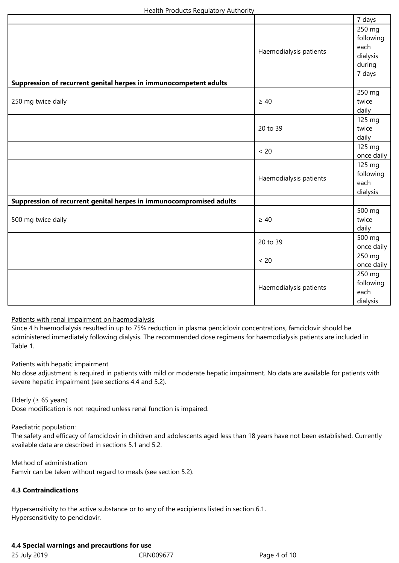|                                                                     |                        | 7 days                      |
|---------------------------------------------------------------------|------------------------|-----------------------------|
|                                                                     |                        | 250 mg<br>following<br>each |
|                                                                     | Haemodialysis patients | dialysis                    |
|                                                                     |                        | during                      |
|                                                                     |                        | 7 days                      |
| Suppression of recurrent genital herpes in immunocompetent adults   |                        |                             |
|                                                                     |                        | 250 mg                      |
| 250 mg twice daily                                                  | $\geq 40$              | twice                       |
|                                                                     |                        | daily                       |
|                                                                     |                        | 125 mg                      |
|                                                                     | 20 to 39               | twice                       |
|                                                                     |                        | daily                       |
|                                                                     | $< 20$                 | 125 mg<br>once daily        |
|                                                                     |                        | 125 mg                      |
|                                                                     |                        | following                   |
|                                                                     | Haemodialysis patients | each                        |
|                                                                     |                        | dialysis                    |
| Suppression of recurrent genital herpes in immunocompromised adults |                        |                             |
|                                                                     | $\geq 40$              | 500 mg                      |
| 500 mg twice daily                                                  |                        | twice                       |
|                                                                     |                        | daily                       |
| 20 to 39                                                            |                        | 500 mg                      |
|                                                                     |                        | once daily                  |
| $< 20$                                                              |                        | 250 mg                      |
|                                                                     |                        | once daily                  |
| Haemodialysis patients                                              |                        | 250 mg                      |
|                                                                     |                        | following<br>each           |
|                                                                     |                        |                             |
|                                                                     |                        | dialysis                    |

# Patients with renal impairment on haemodialysis

Since 4 h haemodialysis resulted in up to 75% reduction in plasma penciclovir concentrations, famciclovir should be administered immediately following dialysis. The recommended dose regimens for haemodialysis patients are included in Table 1.

#### Patients with hepatic impairment

No dose adjustment is required in patients with mild or moderate hepatic impairment. No data are available for patients with severe hepatic impairment (see sections 4.4 and 5.2).

#### Elderly ( $\geq 65$  years)

Dose modification is not required unless renal function is impaired.

# Paediatric population:

The safety and efficacy of famciclovir in children and adolescents aged less than 18 years have not been established. Currently available data are described in sections 5.1 and 5.2.

#### Method of administration

Famvir can be taken without regard to meals (see section 5.2).

# **4.3 Contraindications**

Hypersensitivity to the active substance or to any of the excipients listed in section 6.1. Hypersensitivity to penciclovir.

# **4.4 Special warnings and precautions for use**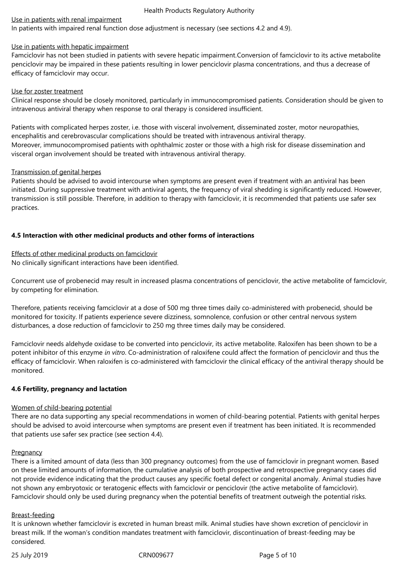#### Use in patients with renal impairment

In patients with impaired renal function dose adjustment is necessary (see sections 4.2 and 4.9).

#### Use in patients with hepatic impairment

Famciclovir has not been studied in patients with severe hepatic impairment.Conversion of famciclovir to its active metabolite penciclovir may be impaired in these patients resulting in lower penciclovir plasma concentrations, and thus a decrease of efficacy of famciclovir may occur.

### Use for zoster treatment

Clinical response should be closely monitored, particularly in immunocompromised patients. Consideration should be given to intravenous antiviral therapy when response to oral therapy is considered insufficient.

Patients with complicated herpes zoster, i.e. those with visceral involvement, disseminated zoster, motor neuropathies, encephalitis and cerebrovascular complications should be treated with intravenous antiviral therapy. Moreover, immunocompromised patients with ophthalmic zoster or those with a high risk for disease dissemination and visceral organ involvement should be treated with intravenous antiviral therapy.

# Transmission of genital herpes

Patients should be advised to avoid intercourse when symptoms are present even if treatment with an antiviral has been initiated. During suppressive treatment with antiviral agents, the frequency of viral shedding is significantly reduced. However, transmission is still possible. Therefore, in addition to therapy with famciclovir, it is recommended that patients use safer sex practices.

# **4.5 Interaction with other medicinal products and other forms of interactions**

Effects of other medicinal products on famciclovir No clinically significant interactions have been identified.

Concurrent use of probenecid may result in increased plasma concentrations of penciclovir, the active metabolite of famciclovir, by competing for elimination.

Therefore, patients receiving famciclovir at a dose of 500 mg three times daily co-administered with probenecid, should be monitored for toxicity. If patients experience severe dizziness, somnolence, confusion or other central nervous system disturbances, a dose reduction of famciclovir to 250 mg three times daily may be considered.

Famciclovir needs aldehyde oxidase to be converted into penciclovir, its active metabolite. Raloxifen has been shown to be a potent inhibitor of this enzyme *in vitro*. Co-administration of raloxifene could affect the formation of penciclovir and thus the efficacy of famciclovir. When raloxifen is co-administered with famciclovir the clinical efficacy of the antiviral therapy should be monitored.

#### **4.6 Fertility, pregnancy and lactation**

#### Women of child-bearing potential

There are no data supporting any special recommendations in women of child-bearing potential. Patients with genital herpes should be advised to avoid intercourse when symptoms are present even if treatment has been initiated. It is recommended that patients use safer sex practice (see section 4.4).

#### **Pregnancy**

There is a limited amount of data (less than 300 pregnancy outcomes) from the use of famciclovir in pregnant women. Based on these limited amounts of information, the cumulative analysis of both prospective and retrospective pregnancy cases did not provide evidence indicating that the product causes any specific foetal defect or congenital anomaly. Animal studies have not shown any embryotoxic or teratogenic effects with famciclovir or penciclovir (the active metabolite of famciclovir). Famciclovir should only be used during pregnancy when the potential benefits of treatment outweigh the potential risks.

#### Breast-feeding

It is unknown whether famciclovir is excreted in human breast milk. Animal studies have shown excretion of penciclovir in breast milk. If the woman's condition mandates treatment with famciclovir, discontinuation of breast-feeding may be considered.

25 July 2019 CRN009677 Page 5 of 10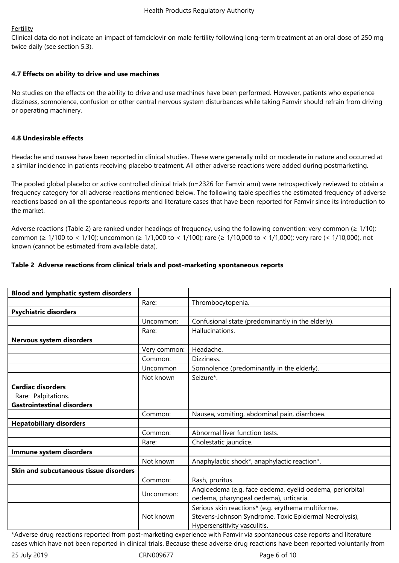# **Fertility**

Clinical data do not indicate an impact of famciclovir on male fertility following long-term treatment at an oral dose of 250 mg twice daily (see section 5.3).

# **4.7 Effects on ability to drive and use machines**

No studies on the effects on the ability to drive and use machines have been performed. However, patients who experience dizziness, somnolence, confusion or other central nervous system disturbances while taking Famvir should refrain from driving or operating machinery.

# **4.8 Undesirable effects**

Headache and nausea have been reported in clinical studies. These were generally mild or moderate in nature and occurred at a similar incidence in patients receiving placebo treatment. All other adverse reactions were added during postmarketing.

The pooled global placebo or active controlled clinical trials (n=2326 for Famvir arm) were retrospectively reviewed to obtain a frequency category for all adverse reactions mentioned below. The following table specifies the estimated frequency of adverse reactions based on all the spontaneous reports and literature cases that have been reported for Famvir since its introduction to the market.

Adverse reactions (Table 2) are ranked under headings of frequency, using the following convention: very common ( $\geq 1/10$ ); common (≥ 1/100 to < 1/10); uncommon (≥ 1/1,000 to < 1/100); rare (≥ 1/10,000 to < 1/1,000); very rare (< 1/10,000), not known (cannot be estimated from available data).

# **Table 2 Adverse reactions from clinical trials and post-marketing spontaneous reports**

| <b>Blood and lymphatic system disorders</b>                                          |              |                                                                                                                                              |
|--------------------------------------------------------------------------------------|--------------|----------------------------------------------------------------------------------------------------------------------------------------------|
|                                                                                      | Rare:        | Thrombocytopenia.                                                                                                                            |
| <b>Psychiatric disorders</b>                                                         |              |                                                                                                                                              |
|                                                                                      | Uncommon:    | Confusional state (predominantly in the elderly).                                                                                            |
|                                                                                      | Rare:        | Hallucinations.                                                                                                                              |
| Nervous system disorders                                                             |              |                                                                                                                                              |
|                                                                                      | Very common: | Headache.                                                                                                                                    |
|                                                                                      | Common:      | Dizziness.                                                                                                                                   |
|                                                                                      | Uncommon     | Somnolence (predominantly in the elderly).                                                                                                   |
|                                                                                      | Not known    | Seizure*.                                                                                                                                    |
| <b>Cardiac disorders</b><br>Rare: Palpitations.<br><b>Gastrointestinal disorders</b> |              |                                                                                                                                              |
|                                                                                      | Common:      | Nausea, vomiting, abdominal pain, diarrhoea.                                                                                                 |
| <b>Hepatobiliary disorders</b>                                                       |              |                                                                                                                                              |
|                                                                                      | Common:      | Abnormal liver function tests.                                                                                                               |
|                                                                                      | Rare:        | Cholestatic jaundice.                                                                                                                        |
| Immune system disorders                                                              |              |                                                                                                                                              |
|                                                                                      | Not known    | Anaphylactic shock*, anaphylactic reaction*.                                                                                                 |
| Skin and subcutaneous tissue disorders                                               |              |                                                                                                                                              |
|                                                                                      | Common:      | Rash, pruritus.                                                                                                                              |
|                                                                                      | Uncommon:    | Angioedema (e.g. face oedema, eyelid oedema, periorbital<br>oedema, pharyngeal oedema), urticaria.                                           |
|                                                                                      | Not known    | Serious skin reactions* (e.g. erythema multiforme,<br>Stevens-Johnson Syndrome, Toxic Epidermal Necrolysis),<br>Hypersensitivity vasculitis. |

\*Adverse drug reactions reported from post-marketing experience with Famvir via spontaneous case reports and literature cases which have not been reported in clinical trials. Because these adverse drug reactions have been reported voluntarily from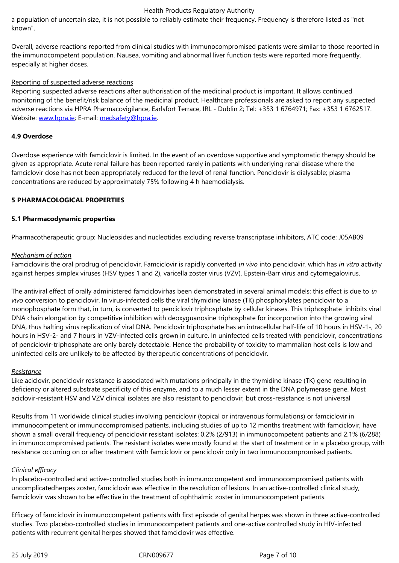Overall, adverse reactions reported from clinical studies with immunocompromised patients were similar to those reported in the immunocompetent population. Nausea, vomiting and abnormal liver function tests were reported more frequently, especially at higher doses.

# Reporting of suspected adverse reactions

Reporting suspected adverse reactions after authorisation of the medicinal product is important. It allows continued monitoring of the benefit/risk balance of the medicinal product. Healthcare professionals are asked to report any suspected adverse reactions via HPRA Pharmacovigilance, Earlsfort Terrace, IRL - Dublin 2; Tel: +353 1 6764971; Fax: +353 1 6762517. Website: www.hpra.ie; E-mail: medsafety@hpra.ie.

# **4.9 Overdose**

Overdos[e experience](http://www.hpra.ie/) with fa[mciclovir is limited. In](mailto:medsafety@hpra.ie) the event of an overdose supportive and symptomatic therapy should be given as appropriate. Acute renal failure has been reported rarely in patients with underlying renal disease where the famciclovir dose has not been appropriately reduced for the level of renal function. Penciclovir is dialysable; plasma concentrations are reduced by approximately 75% following 4 h haemodialysis.

# **5 PHARMACOLOGICAL PROPERTIES**

# **5.1 Pharmacodynamic properties**

Pharmacotherapeutic group: Nucleosides and nucleotides excluding reverse transcriptase inhibitors, ATC code: J05AB09

#### *Mechanism of action*

Famcicloviris the oral prodrug of penciclovir. Famciclovir is rapidly converted *in vivo* into penciclovir, which has *in vitro* activity against herpes simplex viruses (HSV types 1 and 2), varicella zoster virus (VZV), Epstein-Barr virus and cytomegalovirus.

The antiviral effect of orally administered famciclovirhas been demonstrated in several animal models: this effect is due to *in vivo* conversion to penciclovir. In virus-infected cells the viral thymidine kinase (TK) phosphorylates penciclovir to a monophosphate form that, in turn, is converted to penciclovir triphosphate by cellular kinases. This triphosphate inhibits viral DNA chain elongation by competitive inhibition with deoxyguanosine triphosphate for incorporation into the growing viral DNA, thus halting virus replication of viral DNA. Penciclovir triphosphate has an intracellular half-life of 10 hours in HSV-1-, 20 hours in HSV-2- and 7 hours in VZV-infected cells grown in culture. In uninfected cells treated with penciclovir, concentrations of penciclovir-triphosphate are only barely detectable. Hence the probability of toxicity to mammalian host cells is low and uninfected cells are unlikely to be affected by therapeutic concentrations of penciclovir.

#### *Resistance*

Like aciclovir, penciclovir resistance is associated with mutations principally in the thymidine kinase (TK) gene resulting in deficiency or altered substrate specificity of this enzyme, and to a much lesser extent in the DNA polymerase gene. Most aciclovir-resistant HSV and VZV clinical isolates are also resistant to penciclovir, but cross-resistance is not universal

Results from 11 worldwide clinical studies involving penciclovir (topical or intravenous formulations) or famciclovir in immunocompetent or immunocompromised patients, including studies of up to 12 months treatment with famciclovir, have shown a small overall frequency of penciclovir resistant isolates: 0.2% (2/913) in immunocompetent patients and 2.1% (6/288) in immunocompromised patients. The resistant isolates were mostly found at the start of treatment or in a placebo group, with resistance occurring on or after treatment with famciclovir or penciclovir only in two immunocompromised patients.

#### *Clinical efficacy*

In placebo-controlled and active-controlled studies both in immunocompetent and immunocompromised patients with uncomplicatedherpes zoster, famciclovir was effective in the resolution of lesions. In an active-controlled clinical study, famciclovir was shown to be effective in the treatment of ophthalmic zoster in immunocompetent patients.

Efficacy of famciclovir in immunocompetent patients with first episode of genital herpes was shown in three active-controlled studies. Two placebo-controlled studies in immunocompetent patients and one-active controlled study in HIV-infected patients with recurrent genital herpes showed that famciclovir was effective.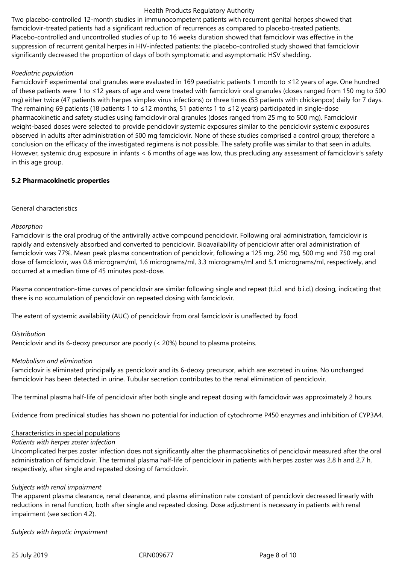Two placebo-controlled 12-month studies in immunocompetent patients with recurrent genital herpes showed that famciclovir-treated patients had a significant reduction of recurrences as compared to placebo-treated patients. Placebo-controlled and uncontrolled studies of up to 16 weeks duration showed that famciclovir was effective in the suppression of recurrent genital herpes in HIV-infected patients; the placebo-controlled study showed that famciclovir significantly decreased the proportion of days of both symptomatic and asymptomatic HSV shedding.

### *Paediatric population*

FamciclovirF experimental oral granules were evaluated in 169 paediatric patients 1 month to ≤12 years of age. One hundred of these patients were 1 to ≤12 years of age and were treated with famciclovir oral granules (doses ranged from 150 mg to 500 mg) either twice (47 patients with herpes simplex virus infections) or three times (53 patients with chickenpox) daily for 7 days. The remaining 69 patients (18 patients 1 to ≤12 months, 51 patients 1 to ≤12 years) participated in single-dose pharmacokinetic and safety studies using famciclovir oral granules (doses ranged from 25 mg to 500 mg). Famciclovir weight-based doses were selected to provide penciclovir systemic exposures similar to the penciclovir systemic exposures observed in adults after administration of 500 mg famciclovir. None of these studies comprised a control group; therefore a conclusion on the efficacy of the investigated regimens is not possible. The safety profile was similar to that seen in adults. However, systemic drug exposure in infants < 6 months of age was low, thus precluding any assessment of famciclovir's safety in this age group.

# **5.2 Pharmacokinetic properties**

# General characteristics

#### *Absorption*

Famciclovir is the oral prodrug of the antivirally active compound penciclovir. Following oral administration, famciclovir is rapidly and extensively absorbed and converted to penciclovir. Bioavailability of penciclovir after oral administration of famciclovir was 77%. Mean peak plasma concentration of penciclovir, following a 125 mg, 250 mg, 500 mg and 750 mg oral dose of famciclovir, was 0.8 microgram/ml, 1.6 micrograms/ml, 3.3 micrograms/ml and 5.1 micrograms/ml, respectively, and occurred at a median time of 45 minutes post-dose.

Plasma concentration-time curves of penciclovir are similar following single and repeat (t.i.d. and b.i.d.) dosing, indicating that there is no accumulation of penciclovir on repeated dosing with famciclovir.

The extent of systemic availability (AUC) of penciclovir from oral famciclovir is unaffected by food.

#### *Distribution*

Penciclovir and its 6-deoxy precursor are poorly (< 20%) bound to plasma proteins.

#### *Metabolism and elimination*

Famciclovir is eliminated principally as penciclovir and its 6-deoxy precursor, which are excreted in urine. No unchanged famciclovir has been detected in urine. Tubular secretion contributes to the renal elimination of penciclovir.

The terminal plasma half-life of penciclovir after both single and repeat dosing with famciclovir was approximately 2 hours.

Evidence from preclinical studies has shown no potential for induction of cytochrome P450 enzymes and inhibition of CYP3A4.

# Characteristics in special populations

#### *Patients with herpes zoster infection*

Uncomplicated herpes zoster infection does not significantly alter the pharmacokinetics of penciclovir measured after the oral administration of famciclovir. The terminal plasma half-life of penciclovir in patients with herpes zoster was 2.8 h and 2.7 h, respectively, after single and repeated dosing of famciclovir.

#### *Subjects with renal impairment*

The apparent plasma clearance, renal clearance, and plasma elimination rate constant of penciclovir decreased linearly with reductions in renal function, both after single and repeated dosing. Dose adjustment is necessary in patients with renal impairment (see section 4.2).

*Subjects with hepatic impairment*

25 July 2019 CRN009677 Page 8 of 10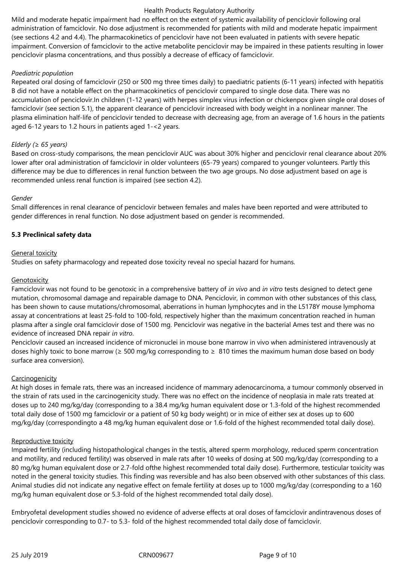Mild and moderate hepatic impairment had no effect on the extent of systemic availability of penciclovir following oral administration of famciclovir. No dose adjustment is recommended for patients with mild and moderate hepatic impairment (see sections 4.2 and 4.4). The pharmacokinetics of penciclovir have not been evaluated in patients with severe hepatic impairment. Conversion of famciclovir to the active metabolite penciclovir may be impaired in these patients resulting in lower penciclovir plasma concentrations, and thus possibly a decrease of efficacy of famciclovir.

# *Paediatric population*

Repeated oral dosing of famciclovir (250 or 500 mg three times daily) to paediatric patients (6-11 years) infected with hepatitis B did not have a notable effect on the pharmacokinetics of penciclovir compared to single dose data. There was no accumulation of penciclovir.In children (1-12 years) with herpes simplex virus infection or chickenpox given single oral doses of famciclovir (see section 5.1), the apparent clearance of penciclovir increased with body weight in a nonlinear manner. The plasma elimination half-life of penciclovir tended to decrease with decreasing age, from an average of 1.6 hours in the patients aged 6-12 years to 1.2 hours in patients aged 1-<2 years.

# *Elderly (≥ 65 years)*

Based on cross-study comparisons, the mean penciclovir AUC was about 30% higher and penciclovir renal clearance about 20% lower after oral administration of famciclovir in older volunteers (65‑79 years) compared to younger volunteers. Partly this difference may be due to differences in renal function between the two age groups. No dose adjustment based on age is recommended unless renal function is impaired (see section 4.2).

# *Gender*

Small differences in renal clearance of penciclovir between females and males have been reported and were attributed to gender differences in renal function. No dose adjustment based on gender is recommended.

# **5.3 Preclinical safety data**

#### General toxicity

Studies on safety pharmacology and repeated dose toxicity reveal no special hazard for humans.

### **Genotoxicity**

Famciclovir was not found to be genotoxic in a comprehensive battery of *in vivo* and *in vitro* tests designed to detect gene mutation, chromosomal damage and repairable damage to DNA. Penciclovir, in common with other substances of this class, has been shown to cause mutations/chromosomal, aberrations in human lymphocytes and in the L5178Y mouse lymphoma assay at concentrations at least 25-fold to 100-fold, respectively higher than the maximum concentration reached in human plasma after a single oral famciclovir dose of 1500 mg. Penciclovir was negative in the bacterial Ames test and there was no evidence of increased DNA repair *in vitro*.

Penciclovir caused an increased incidence of micronuclei in mouse bone marrow in vivo when administered intravenously at doses highly toxic to bone marrow ( $\geq$  500 mg/kg corresponding to  $\geq$  810 times the maximum human dose based on body surface area conversion).

# **Carcinogenicity**

At high doses in female rats, there was an increased incidence of mammary adenocarcinoma, a tumour commonly observed in the strain of rats used in the carcinogenicity study. There was no effect on the incidence of neoplasia in male rats treated at doses up to 240 mg/kg/day (corresponding to a 38.4 mg/kg human equivalent dose or 1.3-fold of the highest recommended total daily dose of 1500 mg famciclovir or a patient of 50 kg body weight) or in mice of either sex at doses up to 600 mg/kg/day (correspondingto a 48 mg/kg human equivalent dose or 1.6-fold of the highest recommended total daily dose).

#### Reproductive toxicity

Impaired fertility (including histopathological changes in the testis, altered sperm morphology, reduced sperm concentration and motility, and reduced fertility) was observed in male rats after 10 weeks of dosing at 500 mg/kg/day (corresponding to a 80 mg/kg human equivalent dose or 2.7-fold ofthe highest recommended total daily dose). Furthermore, testicular toxicity was noted in the general toxicity studies. This finding was reversible and has also been observed with other substances of this class. Animal studies did not indicate any negative effect on female fertility at doses up to 1000 mg/kg/day (corresponding to a 160 mg/kg human equivalent dose or 5.3-fold of the highest recommended total daily dose).

Embryofetal development studies showed no evidence of adverse effects at oral doses of famciclovir andintravenous doses of penciclovir corresponding to 0.7- to 5.3- fold of the highest recommended total daily dose of famciclovir.